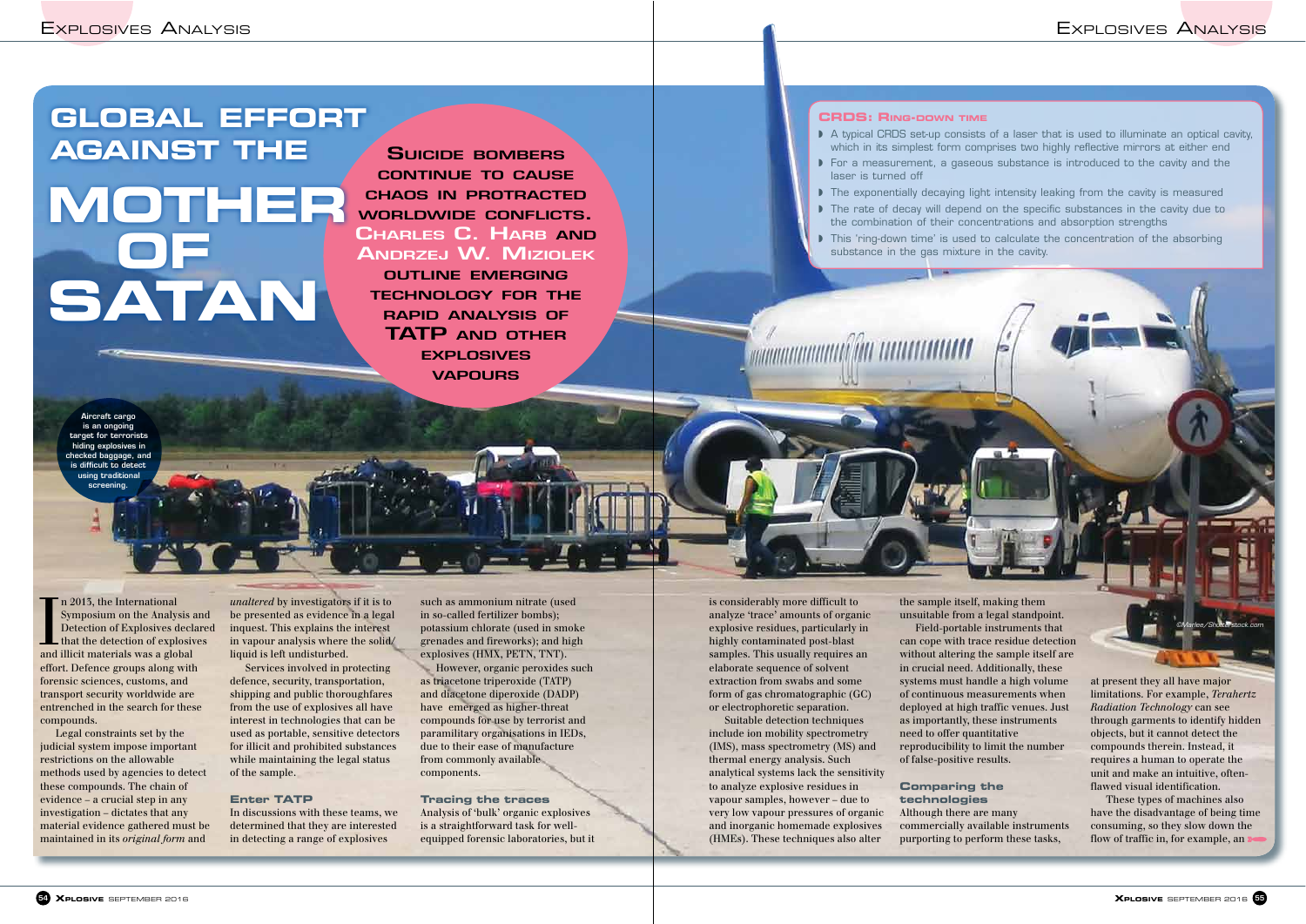SUICIDE BOMBERS CONTINUE TO CAUSE CHAOS IN PROTRACTED WORLDWIDE CONFLICTS. CHARLES C. HARB AND ANDRZEJ W. MIZIOLEK

OUTLINE EMERGING TECHNOLOGY FOR THE RAPID ANALYSIS OF TATP AND OTHER **EXPLOSIVES** VAPOURS

# **GLOBAL EFFORT AGAINST THE MOTHER OF SATAN**

In 2013, the International<br>Symposium on the Analysis a<br>Detection of Explosives declare<br>that the detection of explosive<br>and illicit materials was a global n 2013, the International Symposium on the Analysis and Detection of Explosives declared that the detection of explosives effort. Defence groups along with forensic sciences, customs, and transport security worldwide are entrenched in the search for these compounds.

Legal constraints set by the judicial system impose important restrictions on the allowable methods used by agencies to detect these compounds. The chain of evidence – a crucial step in any investigation – dictates that any material evidence gathered must be maintained in its *original form* and

*unaltered* by investigators if it is to be presented as evidence in a legal inquest. This explains the interest in vapour analysis where the solid/ liquid is left undisturbed.

Services involved in protecting defence, security, transportation, shipping and public thoroughfares from the use of explosives all have interest in technologies that can be used as portable, sensitive detectors for illicit and prohibited substances while maintaining the legal status of the sample.

#### **Enter TATP**

In discussions with these teams, we determined that they are interested in detecting a range of explosives

such as ammonium nitrate (used in so-called fertilizer bombs); potassium chlorate (used in smoke grenades and fireworks); and high explosives (HMX, PETN, TNT).

However, organic peroxides such as triacetone triperoxide (TATP) and diacetone diperoxide (DADP) have emerged as higher-threat compounds for use by terrorist and paramilitary organisations in IEDs, due to their ease of manufacture from commonly available components.

#### **Tracing the traces**

Analysis of 'bulk' organic explosives is a straightforward task for wellequipped forensic laboratories, but it

is considerably more difficult to analyze 'trace' amounts of organic explosive residues, particularly in highly contaminated post-blast samples. This usually requires an elaborate sequence of solvent extraction from swabs and some form of gas chromatographic (GC) or electrophoretic separation.

Suitable detection techniques include ion mobility spectrometry (IMS), mass spectrometry (MS) and thermal energy analysis. Such analytical systems lack the sensitivity to analyze explosive residues in vapour samples, however – due to very low vapour pressures of organic and inorganic homemade explosives (HMEs). These techniques also alter

Field-portable instruments that

the sample itself, making them unsuitable from a legal standpoint. can cope with trace residue detection without altering the sample itself are in crucial need. Additionally, these systems must handle a high volume of continuous measurements when deployed at high traffic venues. Just as importantly, these instruments need to offer quantitative reproducibility to limit the number of false-positive results.

**Comparing the technologies** Although there are many commercially available instruments purporting to perform these tasks,

at present they all have major limitations. For example, *Terahertz Radiation Technology* can see through garments to identify hidden objects, but it cannot detect the compounds therein. Instead, it requires a human to operate the unit and make an intuitive, oftenflawed visual identification.

These types of machines also have the disadvantage of being time consuming, so they slow down the flow of traffic in, for example, an



#### **CRDS: RING-DOWN TIME**

◗ A typical CRDS set-up consists of a laser that is used to illuminate an optical cavity, which in its simplest form comprises two highly reflective mirrors at either end ◗ For a measurement, a gaseous substance is introduced to the cavity and the

◗ The exponentially decaying light intensity leaking from the cavity is measured ◗ The rate of decay will depend on the specific substances in the cavity due to the combination of their concentrations and absorption strengths ◗ This 'ring-down time' is used to calculate the concentration of the absorbing

- 
- laser is turned off
- 
- 
- substance in the gas mixture in the cavity.

www.www.alin.com/www.com/www.

Aircraft cargo is an ongoing target for terrorists hiding explosives in checked baggage, and is difficult to detect using traditional screening.

©Marlee/Shutterstock.com